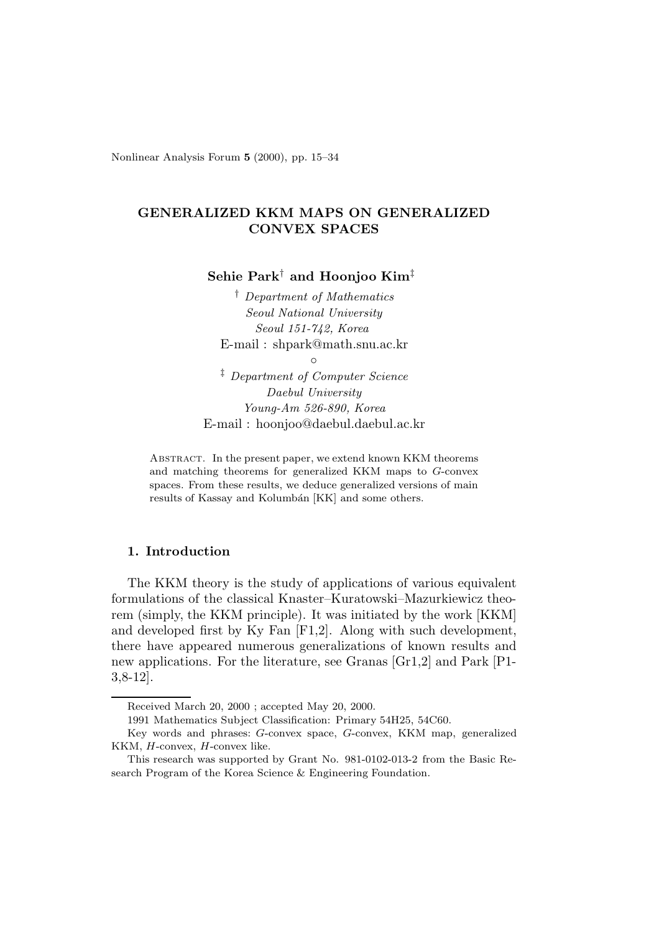Nonlinear Analysis Forum **5** (2000), pp. 15–34

# **GENERALIZED KKM MAPS ON GENERALIZED CONVEX SPACES**

**Sehie Park**† **and Hoonjoo Kim**‡

† *Department of Mathematics Seoul National University Seoul 151-742, Korea* E-mail : shpark@math.snu.ac.kr

 $\circ$ 

‡ *Department of Computer Science Daebul University Young-Am 526-890, Korea* E-mail : hoonjoo@daebul.daebul.ac.kr

ABSTRACT. In the present paper, we extend known KKM theorems and matching theorems for generalized KKM maps to G-convex spaces. From these results, we deduce generalized versions of main results of Kassay and Kolumbán [KK] and some others.

# **1. Introduction**

The KKM theory is the study of applications of various equivalent formulations of the classical Knaster–Kuratowski–Mazurkiewicz theorem (simply, the KKM principle). It was initiated by the work [KKM] and developed first by Ky Fan [F1,2]. Along with such development, there have appeared numerous generalizations of known results and new applications. For the literature, see Granas [Gr1,2] and Park [P1- 3,8-12].

Received March 20, 2000 ; accepted May 20, 2000.

<sup>1991</sup> Mathematics Subject Classification: Primary 54H25, 54C60.

Key words and phrases: G-convex space, G-convex, KKM map, generalized KKM, H-convex, H-convex like.

This research was supported by Grant No. 981-0102-013-2 from the Basic Research Program of the Korea Science & Engineering Foundation.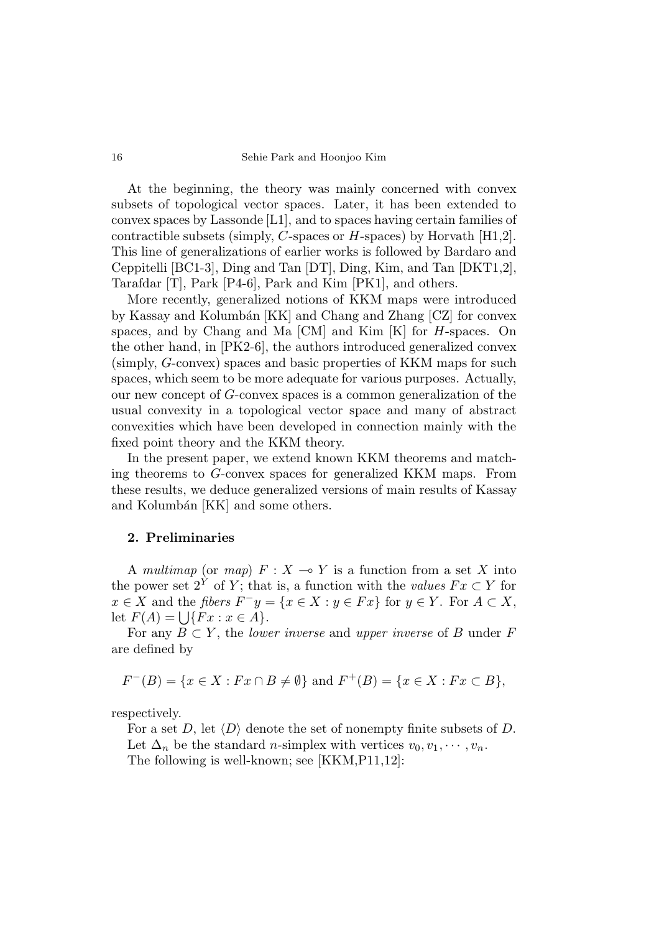At the beginning, the theory was mainly concerned with convex subsets of topological vector spaces. Later, it has been extended to convex spaces by Lassonde [L1], and to spaces having certain families of contractible subsets (simply, *C*-spaces or *H*-spaces) by Horvath [H1,2]. This line of generalizations of earlier works is followed by Bardaro and Ceppitelli [BC1-3], Ding and Tan [DT], Ding, Kim, and Tan [DKT1,2], Tarafdar [T], Park [P4-6], Park and Kim [PK1], and others.

More recently, generalized notions of KKM maps were introduced by Kassay and Kolumbán [KK] and Chang and Zhang [CZ] for convex spaces, and by Chang and Ma [CM] and Kim [K] for *H*-spaces. On the other hand, in [PK2-6], the authors introduced generalized convex (simply, *G*-convex) spaces and basic properties of KKM maps for such spaces, which seem to be more adequate for various purposes. Actually, our new concept of *G*-convex spaces is a common generalization of the usual convexity in a topological vector space and many of abstract convexities which have been developed in connection mainly with the fixed point theory and the KKM theory.

In the present paper, we extend known KKM theorems and matching theorems to *G*-convex spaces for generalized KKM maps. From these results, we deduce generalized versions of main results of Kassay and Kolumbán [KK] and some others.

### **2. Preliminaries**

A multimap (or map)  $F: X \to Y$  is a function from a set X into the power set  $2^Y$  of *Y*; that is, a function with the values  $Fx \subset Y$  for  $x \in X$  and the fibers  $F^{-}y = \{x \in X : y \in Fx\}$  for  $y \in Y$ . For  $A \subset X$ , let  $F(A) = \{ \}$   $\{Fx : x \in A\}.$ 

For any  $B \subset Y$ , the *lower inverse* and *upper inverse* of *B* under *F* are defined by

$$
F^{-}(B) = \{ x \in X : Fx \cap B \neq \emptyset \} \text{ and } F^{+}(B) = \{ x \in X : Fx \subset B \},
$$

respectively.

For a set *D*, let  $\langle D \rangle$  denote the set of nonempty finite subsets of *D*. Let  $\Delta_n$  be the standard *n*-simplex with vertices  $v_0, v_1, \dots, v_n$ . The following is well-known; see [KKM,P11,12]: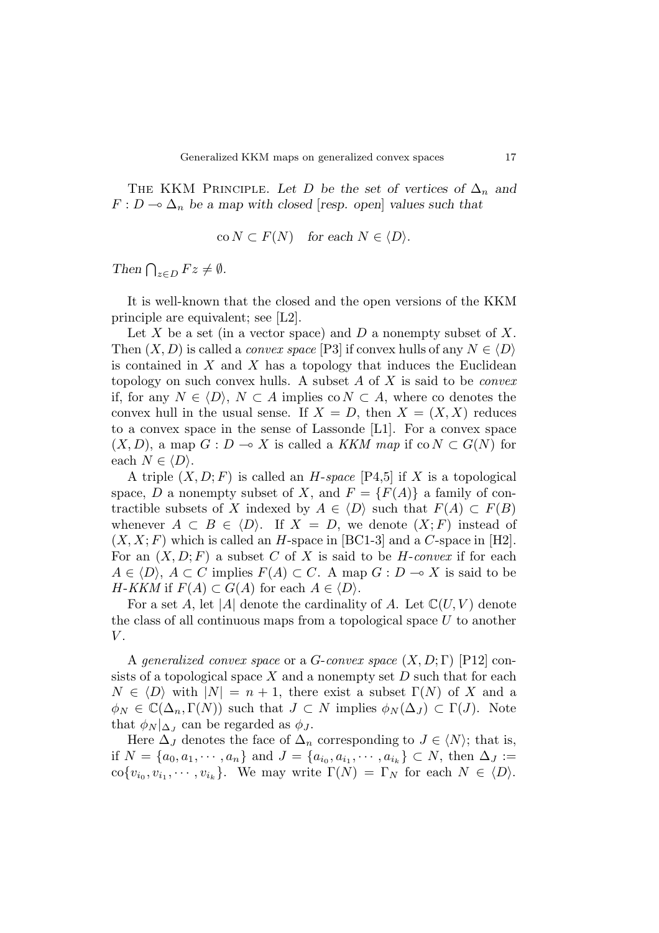THE KKM PRINCIPLE. Let *D* be the set of vertices of  $\Delta_n$  and  $F: D \longrightarrow \Delta_n$  be a map with closed [resp. open] values such that

$$
co N \subset F(N) \quad for each N \in \langle D \rangle.
$$

Then  $\bigcap_{z \in D} Fz \neq \emptyset$ .

It is well-known that the closed and the open versions of the KKM principle are equivalent; see [L2].

Let *X* be a set (in a vector space) and *D* a nonempty subset of *X*. Then  $(X, D)$  is called a *convex space* [P3] if convex hulls of any  $N \in \langle D \rangle$ is contained in *X* and *X* has a topology that induces the Euclidean topology on such convex hulls. A subset *A* of *X* is said to be convex if, for any *N* ∈  $\langle D \rangle$ , *N* ⊂ *A* implies co *N* ⊂ *A*, where co denotes the convex hull in the usual sense. If  $X = D$ , then  $X = (X, X)$  reduces to a convex space in the sense of Lassonde [L1]. For a convex space  $(X, D)$ , a map  $G: D \to X$  is called a KKM map if co  $N \subset G(N)$  for each  $N \in \langle D \rangle$ .

A triple  $(X, D; F)$  is called an *H*-space [P4,5] if *X* is a topological space, *D* a nonempty subset of *X*, and  $F = {F(A)}$  a family of contractible subsets of *X* indexed by  $A \in \langle D \rangle$  such that  $F(A) \subset F(B)$ whenever  $A \subset B \in \langle D \rangle$ . If  $X = D$ , we denote  $(X; F)$  instead of  $(X, X; F)$  which is called an *H*-space in [BC1-3] and a *C*-space in [H2]. For an  $(X, D; F)$  a subset *C* of *X* is said to be *H*-convex if for each *A* ∈  $\langle D \rangle$ , *A* ⊂ *C* implies  $F(A)$  ⊂ *C*. A map *G* : *D* → *X* is said to be *H*-*KKM* if  $F(A) \subset G(A)$  for each  $A \in \langle D \rangle$ .

For a set *A*, let |*A*| denote the cardinality of *A*. Let  $\mathbb{C}(U, V)$  denote the class of all continuous maps from a topological space *U* to another *V* .

A generalized convex space or a *G*-convex space (*X, D*; Γ) [P12] consists of a topological space *X* and a nonempty set *D* such that for each  $N \in \langle D \rangle$  with  $|N| = n + 1$ , there exist a subset  $\Gamma(N)$  of X and a  $\phi_N \in \mathbb{C}(\Delta_n, \Gamma(N))$  such that  $J \subset N$  implies  $\phi_N(\Delta_J) \subset \Gamma(J)$ . Note that  $\phi_N|_{\Delta_J}$  can be regarded as  $\phi_J$ .

Here  $\Delta_J$  denotes the face of  $\Delta_n$  corresponding to  $J \in \langle N \rangle$ ; that is, if  $N = \{a_0, a_1, \dots, a_n\}$  and  $J = \{a_{i_0}, a_{i_1}, \dots, a_{i_k}\} \subset N$ , then  $\Delta_J :=$  $\text{co}\{v_{i_0}, v_{i_1}, \cdots, v_{i_k}\}.$  We may write  $\Gamma(N) = \Gamma_N$  for each  $N \in \langle D \rangle$ .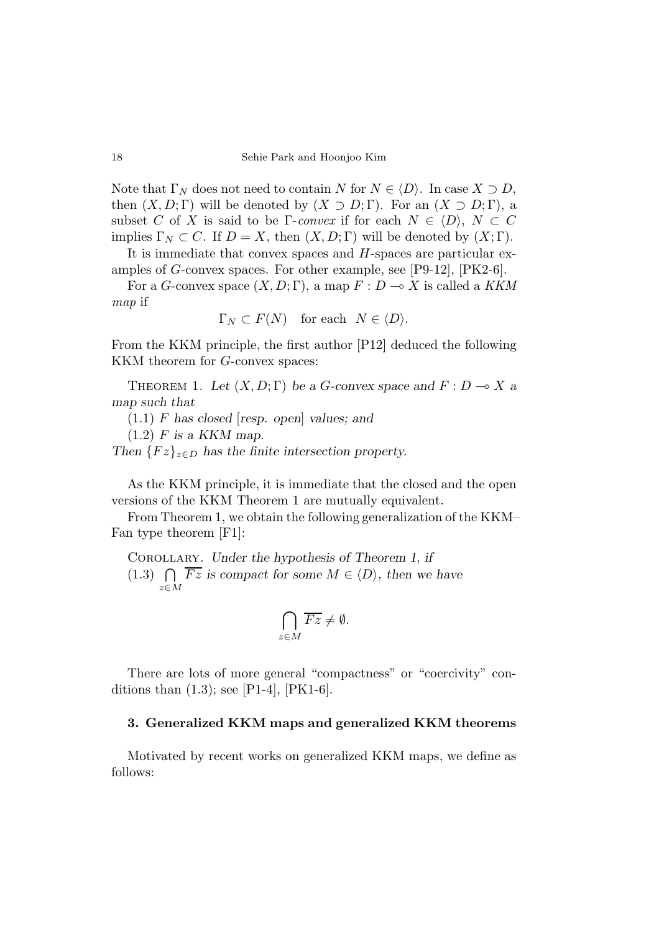Note that  $\Gamma_N$  does not need to contain *N* for  $N \in \langle D \rangle$ . In case  $X \supset D$ , then  $(X, D; \Gamma)$  will be denoted by  $(X \supset D; \Gamma)$ . For an  $(X \supset D; \Gamma)$ , a subset *C* of *X* is said to be Γ-convex if for each  $N \in \langle D \rangle$ ,  $N \subset C$ implies  $\Gamma_N \subset C$ . If  $D = X$ , then  $(X, D; \Gamma)$  will be denoted by  $(X; \Gamma)$ .

It is immediate that convex spaces and *H*-spaces are particular examples of *G*-convex spaces. For other example, see [P9-12], [PK2-6].

For a *G*-convex space  $(X, D; \Gamma)$ , a map  $F: D \to X$  is called a KKM map if

$$
\Gamma_N \subset F(N) \quad \text{for each} \quad N \in \langle D \rangle.
$$

From the KKM principle, the first author [P12] deduced the following KKM theorem for *G*-convex spaces:

THEOREM 1. Let  $(X, D; \Gamma)$  be a *G*-convex space and  $F: D \to X$  a map such that

(1*.*1) *F* has closed [resp. open] values; and

 $(1.2)$  *F* is a KKM map.

Then  ${Fz}_{z\in D}$  has the finite intersection property.

As the KKM principle, it is immediate that the closed and the open versions of the KKM Theorem 1 are mutually equivalent.

From Theorem 1, we obtain the following generalization of the KKM– Fan type theorem [F1]:

Corollary. Under the hypothesis of Theorem 1, if (1.3)  $\bigcap \overline{Fz}$  is compact for some  $M \in \langle D \rangle$ , then we have *z*∈*M*

$$
\bigcap_{z \in M} \overline{Fz} \neq \emptyset.
$$

There are lots of more general "compactness" or "coercivity" conditions than  $(1.3)$ ; see [P1-4], [PK1-6].

## **3. Generalized KKM maps and generalized KKM theorems**

Motivated by recent works on generalized KKM maps, we define as follows: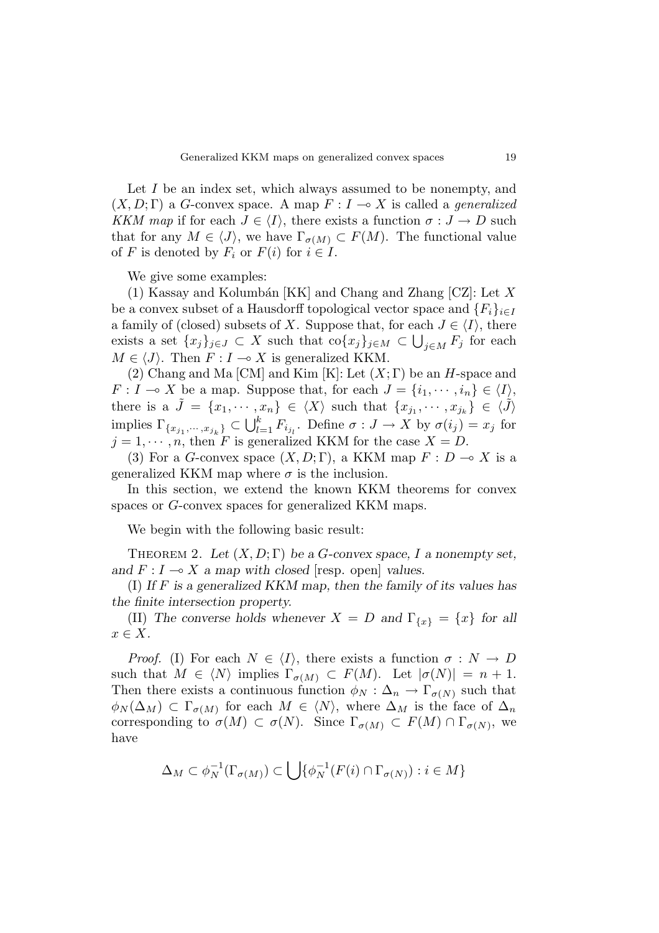Let *I* be an index set, which always assumed to be nonempty, and  $(X, D; \Gamma)$  a *G*-convex space. A map  $F: I \rightarrow X$  is called a *generalized* KKM map if for each  $J \in \langle I \rangle$ , there exists a function  $\sigma : J \to D$  such that for any  $M \in \langle J \rangle$ , we have  $\Gamma_{\sigma(M)} \subset F(M)$ . The functional value of *F* is denoted by  $F_i$  or  $F(i)$  for  $i \in I$ .

We give some examples:

(1) Kassay and Kolumb´an [KK] and Chang and Zhang [CZ]: Let *X* be a convex subset of a Hausdorff topological vector space and  ${F_i}_{i \in I}$ a family of (closed) subsets of *X*. Suppose that, for each  $J \in \langle I \rangle$ , there exists a set  $\{x_j\}_{j\in J} \subset X$  such that  $\text{co}\{x_j\}_{j\in M} \subset \bigcup_{j\in M} F_j$  for each  $M \in \langle J \rangle$ . Then  $F : I \longrightarrow X$  is generalized KKM.

(2) Chang and Ma [CM] and Kim [K]: Let (*X*; Γ) be an *H*-space and *F* : *I*  $\rightarrow$  *X* be a map. Suppose that, for each  $J = \{i_1, \dots, i_n\} \in \langle I \rangle$ , there is a  $\tilde{J} = \{x_1, \dots, x_n\} \in \langle X \rangle$  such that  $\{x_{j_1}, \dots, x_{j_k}\} \in \langle \tilde{J} \rangle$  $\text{implies } \Gamma_{\{x_{j_1}, \dots, x_{j_k}\}} \subset \bigcup_{l=1}^k F_{i_{j_l}}.$  Define  $\sigma: J \to X$  by  $\sigma(i_j) = x_j$  for  $j = 1, \dots, n$ , then *F* is generalized KKM for the case  $X = D$ .

(3) For a *G*-convex space  $(X, D; \Gamma)$ , a KKM map  $F: D \to X$  is a generalized KKM map where  $\sigma$  is the inclusion.

In this section, we extend the known KKM theorems for convex spaces or *G*-convex spaces for generalized KKM maps.

We begin with the following basic result:

THEOREM 2. Let  $(X, D; \Gamma)$  be a *G*-convex space, *I* a nonempty set, and  $F: I \longrightarrow X$  a map with closed [resp. open] values.

(I) If *F* is a generalized KKM map, then the family of its values has the finite intersection property.

(II) The converse holds whenever  $X = D$  and  $\Gamma_{\{x\}} = \{x\}$  for all *x* ∈ *X*.

*Proof.* (I) For each  $N \in \langle I \rangle$ , there exists a function  $\sigma : N \to D$ such that  $M \in \langle N \rangle$  implies  $\Gamma_{\sigma(M)} \subset F(M)$ . Let  $|\sigma(N)| = n + 1$ . Then there exists a continuous function  $\phi_N : \Delta_n \to \Gamma_{\sigma(N)}$  such that  $\phi_N(\Delta_M) \subset \Gamma_{\sigma(M)}$  for each  $M \in \langle N \rangle$ , where  $\Delta_M$  is the face of  $\Delta_n$ corresponding to  $\sigma(M) \subset \sigma(N)$ . Since  $\Gamma_{\sigma(M)} \subset F(M) \cap \Gamma_{\sigma(N)}$ , we have

$$
\Delta_M \subset \phi_N^{-1}(\Gamma_{\sigma(M)}) \subset \bigcup \{ \phi_N^{-1}(F(i) \cap \Gamma_{\sigma(N)}) : i \in M \}
$$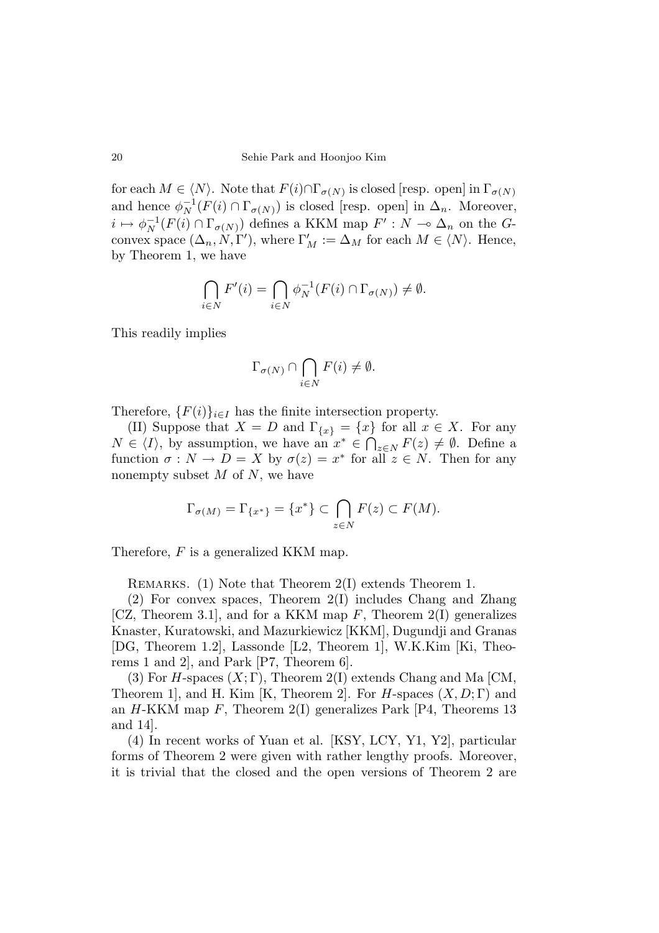for each  $M \in \langle N \rangle$ . Note that  $F(i) \cap \Gamma_{\sigma(N)}$  is closed [resp. open] in  $\Gamma_{\sigma(N)}$ and hence  $\phi_N^{-1}(F(i) \cap \Gamma_{\sigma(N)})$  is closed [resp. open] in  $\Delta_n$ . Moreover,  $i \mapsto \phi_N^{-1}(F(i) \cap \Gamma_{\sigma(N)})$  defines a KKM map  $F': N \to \Delta_n$  on the *G*convex space  $(\Delta_n, N, \Gamma')$ , where  $\Gamma'_M := \Delta_M$  for each  $M \in \langle N \rangle$ . Hence, by Theorem 1, we have

$$
\bigcap_{i\in N} F'(i) = \bigcap_{i\in N} \phi_N^{-1}(F(i) \cap \Gamma_{\sigma(N)}) \neq \emptyset.
$$

This readily implies

$$
\Gamma_{\sigma(N)} \cap \bigcap_{i \in N} F(i) \neq \emptyset.
$$

Therefore,  ${F(i)}_{i \in I}$  has the finite intersection property.

(II) Suppose that  $X = D$  and  $\Gamma_{\{x\}} = \{x\}$  for all  $x \in X$ . For any *N* ∈  $\langle I \rangle$ , by assumption, we have an  $x^*$  ∈  $\bigcap_{z \in N} F(z) \neq \emptyset$ . Define a function  $\sigma: N \to D = X$  by  $\sigma(z) = x^*$  for all  $z \in N$ . Then for any nonempty subset *M* of *N*, we have

$$
\Gamma_{\sigma(M)} = \Gamma_{\{x^*\}} = \{x^*\} \subset \bigcap_{z \in N} F(z) \subset F(M).
$$

Therefore, *F* is a generalized KKM map.

REMARKS. (1) Note that Theorem 2(I) extends Theorem 1.

(2) For convex spaces, Theorem 2(I) includes Chang and Zhang [CZ, Theorem 3.1], and for a KKM map *F*, Theorem 2(I) generalizes Knaster, Kuratowski, and Mazurkiewicz [KKM], Dugundji and Granas [DG, Theorem 1.2], Lassonde [L2, Theorem 1], W.K.Kim [Ki, Theorems 1 and 2], and Park [P7, Theorem 6].

(3) For *H*-spaces  $(X;\Gamma)$ , Theorem 2(I) extends Chang and Ma [CM, Theorem 1], and H. Kim [K, Theorem 2]. For *H*-spaces (*X, D*; Γ) and an *H*-KKM map *F*, Theorem 2(I) generalizes Park [P4, Theorems 13 and 14].

(4) In recent works of Yuan et al. [KSY, LCY, Y1, Y2], particular forms of Theorem 2 were given with rather lengthy proofs. Moreover, it is trivial that the closed and the open versions of Theorem 2 are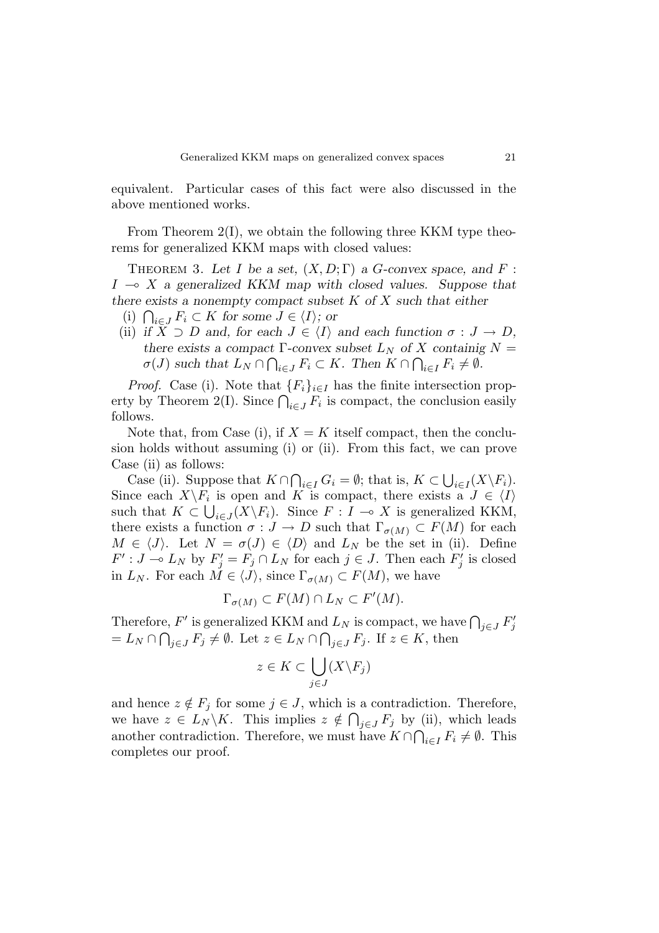equivalent. Particular cases of this fact were also discussed in the above mentioned works.

From Theorem 2(I), we obtain the following three KKM type theorems for generalized KKM maps with closed values:

THEOREM 3. Let *I* be a set,  $(X, D; \Gamma)$  a *G*-convex space, and *F*:  $I \rightarrow X$  a generalized KKM map with closed values. Suppose that there exists a nonempty compact subset *K* of *X* such that either

- (i)  $\bigcap_{i \in J} F_i \subset K$  for some *J* ∈  $\langle I \rangle$ ; or
- (ii) if  $X \supset D$  and, for each  $J \in \langle I \rangle$  and each function  $\sigma : J \to D$ , there exists a compact  $\Gamma$ -convex subset  $L_N$  of X containig  $N =$  $\sigma(J)$  such that  $L_N \cap \bigcap_{i \in J} F_i \subset K$ . Then  $K \cap \bigcap_{i \in I} F_i \neq \emptyset$ .

*Proof.* Case (i). Note that  ${F_i}_{i \in I}$  has the finite intersection property by Theorem 2(I). Since  $\bigcap_{i\in J} F_i$  is compact, the conclusion easily follows.

Note that, from Case (i), if  $X = K$  itself compact, then the conclusion holds without assuming (i) or (ii). From this fact, we can prove Case (ii) as follows:

Case (ii). Suppose that  $K \cap \bigcap_{i \in I} G_i = \emptyset$ ; that is,  $K \subset \bigcup_{i \in I} (X \backslash F_i)$ . Since each  $X\backslash F_i$  is open and *K* is compact, there exists a  $J \in \langle I \rangle$ such that  $K \subset \bigcup_{i \in J} (X \backslash F_i)$ . Since  $F : I \to X$  is generalized KKM, there exists a function  $\sigma : J \to D$  such that  $\Gamma_{\sigma(M)} \subset F(M)$  for each  $M \in \langle J \rangle$ . Let  $N = \sigma(J) \in \langle D \rangle$  and  $L_N$  be the set in (ii). Define  $F' : J \to L_N$  by  $F'_j = F_j \cap L_N$  for each  $j \in J$ . Then each  $F'_j$  is closed in  $L_N$ . For each  $M \in \langle J \rangle$ , since  $\Gamma_{\sigma(M)} \subset F(M)$ , we have

$$
\Gamma_{\sigma(M)} \subset F(M) \cap L_N \subset F'(M).
$$

Therefore,  $F'$  is generalized KKM and  $L_N$  is compact, we have  $\bigcap_{j \in J} F'_j$  $= L_N \cap \bigcap_{j \in J} F_j \neq \emptyset$ . Let  $z \in L_N \cap \bigcap_{j \in J} F_j$ . If  $z \in K$ , then

$$
z \in K \subset \bigcup_{j \in J} (X \backslash F_j)
$$

and hence  $z \notin F_j$  for some  $j \in J$ , which is a contradiction. Therefore, we have  $z \in L_N \backslash K$ . This implies  $z \notin \bigcap_{j \in J} F_j$  by (ii), which leads another contradiction. Therefore, we must have  $K \cap \bigcap_{i \in I} F_i \neq \emptyset$ . This completes our proof.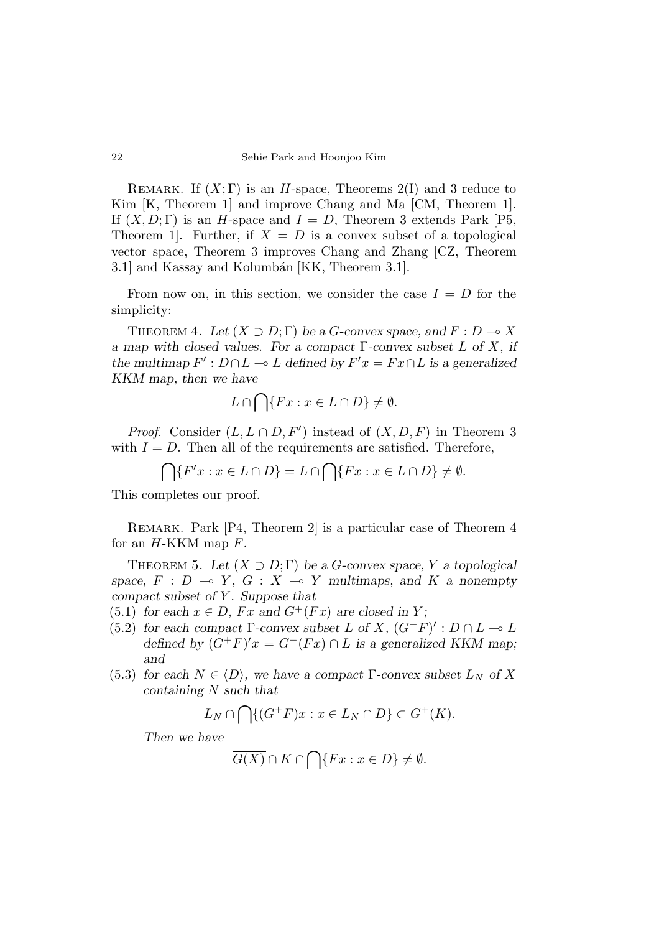REMARK. If  $(X;\Gamma)$  is an *H*-space, Theorems 2(I) and 3 reduce to Kim [K, Theorem 1] and improve Chang and Ma [CM, Theorem 1]. If  $(X, D; \Gamma)$  is an *H*-space and  $I = D$ , Theorem 3 extends Park [P5, Theorem 1. Further, if  $X = D$  is a convex subset of a topological vector space, Theorem 3 improves Chang and Zhang [CZ, Theorem 3.1 and Kassay and Kolumbán [KK, Theorem 3.1].

From now on, in this section, we consider the case  $I = D$  for the simplicity:

THEOREM 4. Let  $(X \supset D; \Gamma)$  be a *G*-convex space, and  $F: D \to X$ a map with closed values. For a compact Γ-convex subset *L* of *X*, if the multimap  $F' : D \cap L \to L$  defined by  $F'x = Fx \cap L$  is a generalized KKM map, then we have

$$
L \cap \bigcap \{Fx : x \in L \cap D\} \neq \emptyset.
$$

*Proof.* Consider  $(L, L \cap D, F')$  instead of  $(X, D, F)$  in Theorem 3 with  $I = D$ . Then all of the requirements are satisfied. Therefore,

$$
\bigcap \{F'x : x \in L \cap D\} = L \cap \bigcap \{Fx : x \in L \cap D\} \neq \emptyset.
$$

This completes our proof.

REMARK. Park [P4, Theorem 2] is a particular case of Theorem 4 for an *H*-KKM map *F*.

THEOREM 5. Let  $(X \supset D;\Gamma)$  be a *G*-convex space, *Y* a topological space,  $F : D \multimap Y$ ,  $G : X \multimap Y$  multimaps, and  $K$  a nonempty compact subset of *Y* . Suppose that

- (5.1) for each  $x \in D$ ,  $Fx$  and  $G^+(Fx)$  are closed in *Y*;
- (5.2) for each compact  $\Gamma$ -convex subset *L* of *X*,  $(G^+F)' : D \cap L \to L$ defined by  $(G^+F)'x = G^+(Fx) \cap L$  is a generalized KKM map; and
- (5.3) for each  $N \in \langle D \rangle$ , we have a compact  $\Gamma$ -convex subset  $L_N$  of X containing *N* such that

$$
L_N \cap \bigcap \{ (G^+F)x : x \in L_N \cap D \} \subset G^+(K).
$$

Then we have

$$
\overline{G(X)} \cap K \cap \bigcap \{Fx : x \in D\} \neq \emptyset.
$$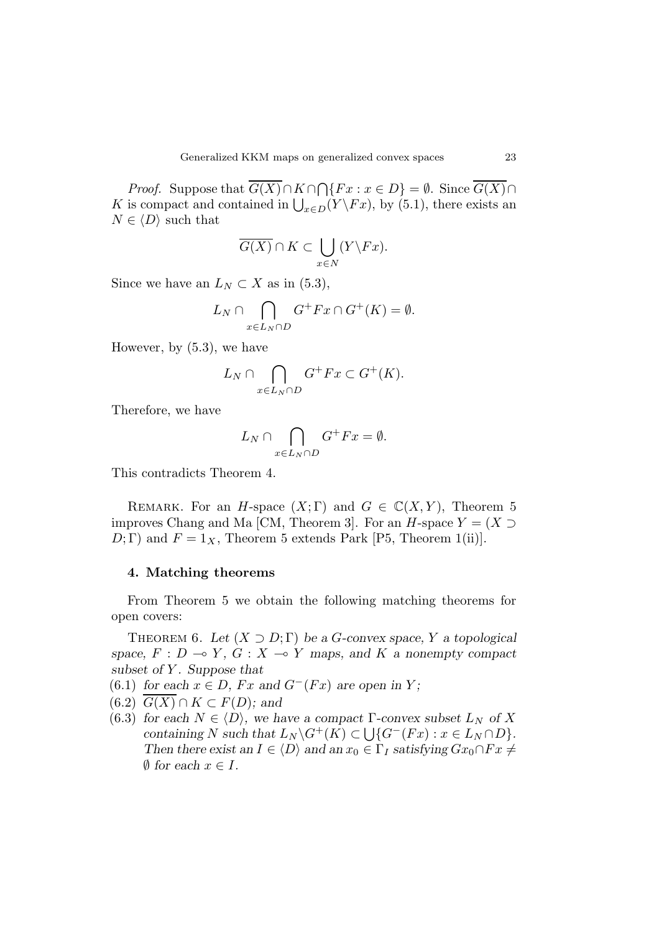*Proof.* Suppose that  $\overline{G(X)} \cap K \cap \bigcap \{Fx : x \in D\} = \emptyset$ . Since  $\overline{G(X)} \cap$ *K* is compact and contained in  $\bigcup_{x \in D} (Y \backslash F x)$ , by (5.1), there exists an  $N \in \langle D \rangle$  such that

$$
\overline{G(X)} \cap K \subset \bigcup_{x \in N} (Y \backslash Fx).
$$

Since we have an  $L_N \subset X$  as in (5.3),

$$
L_N \cap \bigcap_{x \in L_N \cap D} G^+ F x \cap G^+(K) = \emptyset.
$$

However, by (5.3), we have

$$
L_N \cap \bigcap_{x \in L_N \cap D} G^+ F x \subset G^+(K).
$$

Therefore, we have

$$
L_N \cap \bigcap_{x \in L_N \cap D} G^+ F x = \emptyset.
$$

This contradicts Theorem 4.

REMARK. For an *H*-space  $(X;\Gamma)$  and  $G \in \mathbb{C}(X,Y)$ , Theorem 5 improves Chang and Ma [CM, Theorem 3]. For an *H*-space  $Y = (X \supset$  $D; \Gamma$  and  $F = 1_X$ , Theorem 5 extends Park [P5, Theorem 1(ii)].

# **4. Matching theorems**

From Theorem 5 we obtain the following matching theorems for open covers:

THEOREM 6. Let  $(X \supset D; \Gamma)$  be a *G*-convex space, *Y* a topological space,  $F: D \to Y$ ,  $G: X \to Y$  maps, and  $K$  a nonempty compact subset of *Y* . Suppose that

- (6.1) for each  $x \in D$ ,  $Fx$  and  $G^{-}(Fx)$  are open in *Y*;
- $(6.2)$   $\overline{G(X)} \cap K \subset F(D)$ ; and
- (6.3) for each  $N \in \langle D \rangle$ , we have a compact  $\Gamma$ -convex subset  $L_N$  of X containing *N* such that  $L_N \backslash G^+(K) \subset \bigcup \{ G^-(Fx) : x \in L_N \cap D \}.$ Then there exist an  $I \in \langle D \rangle$  and an  $x_0 \in \Gamma_I$  satisfying  $Gx_0 \cap Fx \neq$  $\emptyset$  for each  $x \in I$ .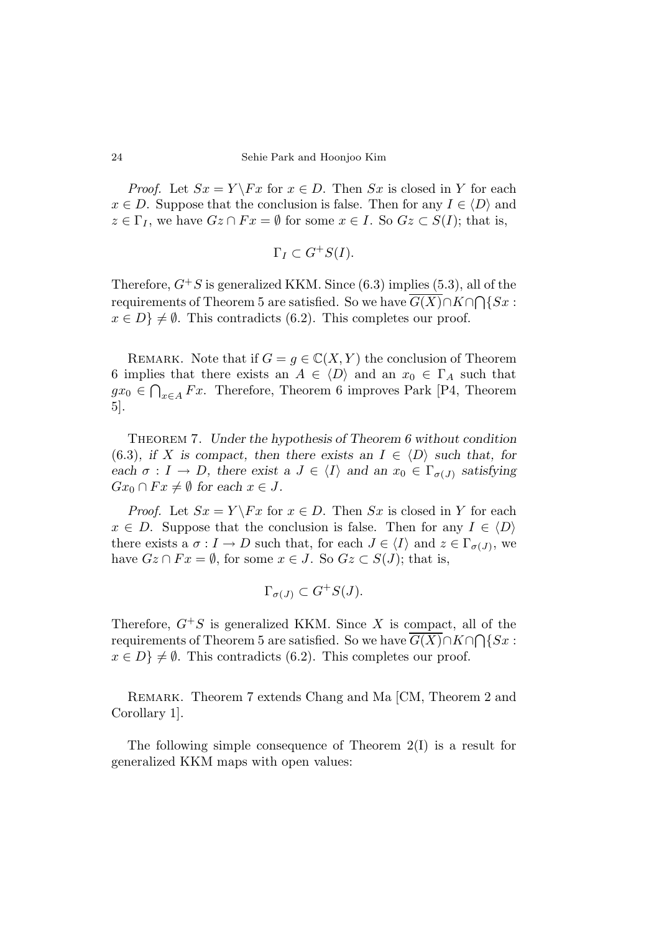*Proof.* Let  $Sx = Y \ F x$  for  $x \in D$ . Then  $Sx$  is closed in Y for each  $x \in D$ . Suppose that the conclusion is false. Then for any  $I \in \langle D \rangle$  and  $z \in \Gamma_I$ , we have  $Gz \cap Fx = \emptyset$  for some  $x \in I$ . So  $Gz \subset S(I)$ ; that is,

$$
\Gamma_I \subset G^+S(I).
$$

Therefore,  $G^+S$  is generalized KKM. Since (6.3) implies (5.3), all of the requirements of Theorem 5 are satisfied. So we have  $G(X) \cap K \cap \bigcap \{Sx :$  $x \in D$   $\neq \emptyset$ . This contradicts (6.2). This completes our proof.

REMARK. Note that if  $G = g \in \mathbb{C}(X, Y)$  the conclusion of Theorem 6 implies that there exists an  $A \in \langle D \rangle$  and an  $x_0 \in \Gamma_A$  such that *gx*<sub>0</sub> ∈  $\bigcap_{x \in A} F_x$ . Therefore, Theorem 6 improves Park [P4, Theorem 5].

Theorem 7. Under the hypothesis of Theorem 6 without condition (6.3), if *X* is compact, then there exists an  $I \in \langle D \rangle$  such that, for each  $\sigma : I \to D$ , there exist a  $J \in \langle I \rangle$  and an  $x_0 \in \Gamma_{\sigma(J)}$  satisfying  $Gx_0 \cap Fx \neq \emptyset$  for each  $x \in J$ .

*Proof.* Let  $Sx = Y \ Fx$  for  $x \in D$ . Then  $Sx$  is closed in *Y* for each  $x \in D$ . Suppose that the conclusion is false. Then for any  $I \in \langle D \rangle$ there exists a  $\sigma: I \to D$  such that, for each  $J \in \langle I \rangle$  and  $z \in \Gamma_{\sigma(J)}$ , we have  $Gz \cap Fx = \emptyset$ , for some  $x \in J$ . So  $Gz \subset S(J)$ ; that is,

$$
\Gamma_{\sigma(J)} \subset G^+S(J).
$$

Therefore,  $G^+S$  is generalized KKM. Since X is compact, all of the requirements of Theorem 5 are satisfied. So we have  $\overline{G(X)} \cap K \cap \bigcap \{Sx$ :  $x \in D$   $\neq \emptyset$ . This contradicts (6.2). This completes our proof.

Remark. Theorem 7 extends Chang and Ma [CM, Theorem 2 and Corollary 1].

The following simple consequence of Theorem 2(I) is a result for generalized KKM maps with open values: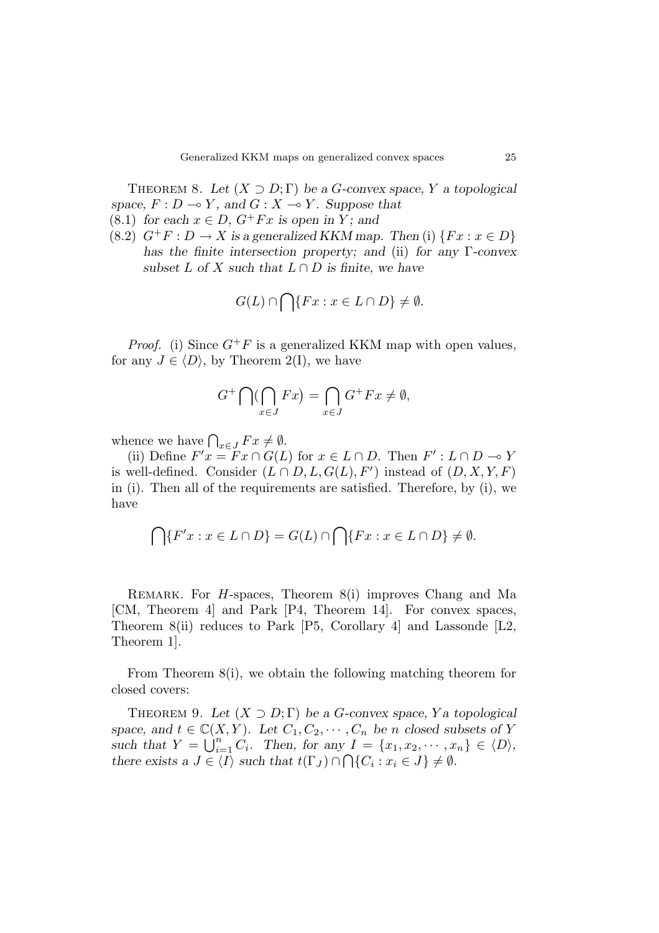THEOREM 8. Let  $(X \supset D; \Gamma)$  be a *G*-convex space, *Y* a topological space,  $F: D \to Y$ , and  $G: X \to Y$ . Suppose that

- (8.1) for each  $x \in D$ ,  $G^+ F x$  is open in *Y*; and
- (8.2)  $G^+F: D \to X$  is a generalized KKM map. Then (i)  $\{Fx: x \in D\}$ has the finite intersection property; and (ii) for any  $\Gamma$ -convex subset *L* of *X* such that  $L \cap D$  is finite, we have

$$
G(L) \cap \bigcap \{Fx : x \in L \cap D\} \neq \emptyset.
$$

*Proof.* (i) Since  $G^+F$  is a generalized KKM map with open values, for any  $J \in \langle D \rangle$ , by Theorem 2(I), we have

$$
G^+\bigcap(\bigcap_{x\in J}Fx)=\bigcap_{x\in J}G^+Fx\neq\emptyset,
$$

whence we have  $\bigcap_{x \in J} F x \neq \emptyset$ .

(ii) Define  $F'x = Fx \cap G(L)$  for  $x \in L \cap D$ . Then  $F' : L \cap D \to Y$ is well-defined. Consider  $(L \cap D, L, G(L), F')$  instead of  $(D, X, Y, F)$ in (i). Then all of the requirements are satisfied. Therefore, by (i), we have

$$
\bigcap \{F'x : x \in L \cap D\} = G(L) \cap \bigcap \{Fx : x \in L \cap D\} \neq \emptyset.
$$

Remark. For *H*-spaces, Theorem 8(i) improves Chang and Ma [CM, Theorem 4] and Park [P4, Theorem 14]. For convex spaces, Theorem 8(ii) reduces to Park [P5, Corollary 4] and Lassonde [L2, Theorem 1].

From Theorem 8(i), we obtain the following matching theorem for closed covers:

THEOREM 9. Let  $(X \supset D; \Gamma)$  be a *G*-convex space, *Y* a topological space, and  $t \in \mathbb{C}(X, Y)$ . Let  $C_1, C_2, \cdots, C_n$  be *n* closed subsets of *Y* such that  $Y = \bigcup_{i=1}^{n} C_i$ . Then, for any  $I = \{x_1, x_2, \cdots, x_n\} \in \langle D \rangle$ , there exists a  $J \in \langle I \rangle$  such that  $t(\Gamma_J) \cap \bigcap \{C_i : x_i \in J\} \neq \emptyset$ .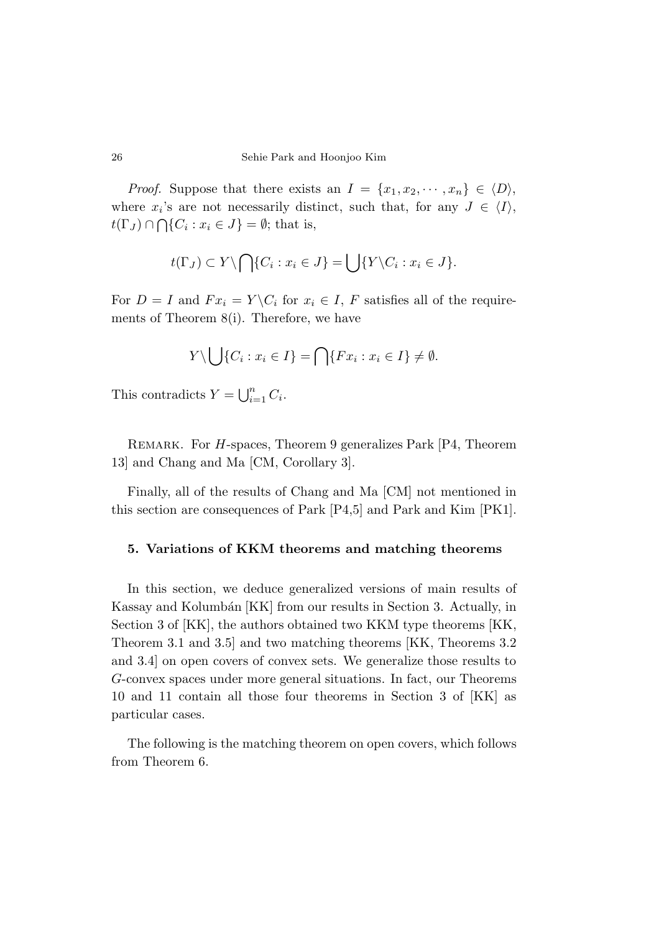*Proof.* Suppose that there exists an  $I = \{x_1, x_2, \dots, x_n\} \in \langle D \rangle$ , where  $x_i$ 's are not necessarily distinct, such that, for any  $J \in \langle I \rangle$ ,  $t(\Gamma_J) \cap \bigcap \{C_i : x_i \in J\} = \emptyset$ ; that is,

$$
t(\Gamma_J) \subset Y \setminus \bigcap \{C_i : x_i \in J\} = \bigcup \{Y \setminus C_i : x_i \in J\}.
$$

For  $D = I$  and  $Fx_i = Y \setminus C_i$  for  $x_i \in I$ ,  $F$  satisfies all of the requirements of Theorem 8(i). Therefore, we have

$$
Y \setminus \bigcup \{C_i : x_i \in I\} = \bigcap \{Fx_i : x_i \in I\} \neq \emptyset.
$$

This contradicts  $Y = \bigcup_{i=1}^{n} C_i$ .

Remark. For *H*-spaces, Theorem 9 generalizes Park [P4, Theorem 13] and Chang and Ma [CM, Corollary 3].

Finally, all of the results of Chang and Ma [CM] not mentioned in this section are consequences of Park [P4,5] and Park and Kim [PK1].

# **5. Variations of KKM theorems and matching theorems**

In this section, we deduce generalized versions of main results of Kassay and Kolumbán [KK] from our results in Section 3. Actually, in Section 3 of [KK], the authors obtained two KKM type theorems [KK, Theorem 3.1 and 3.5] and two matching theorems [KK, Theorems 3.2 and 3.4] on open covers of convex sets. We generalize those results to *G*-convex spaces under more general situations. In fact, our Theorems 10 and 11 contain all those four theorems in Section 3 of [KK] as particular cases.

The following is the matching theorem on open covers, which follows from Theorem 6.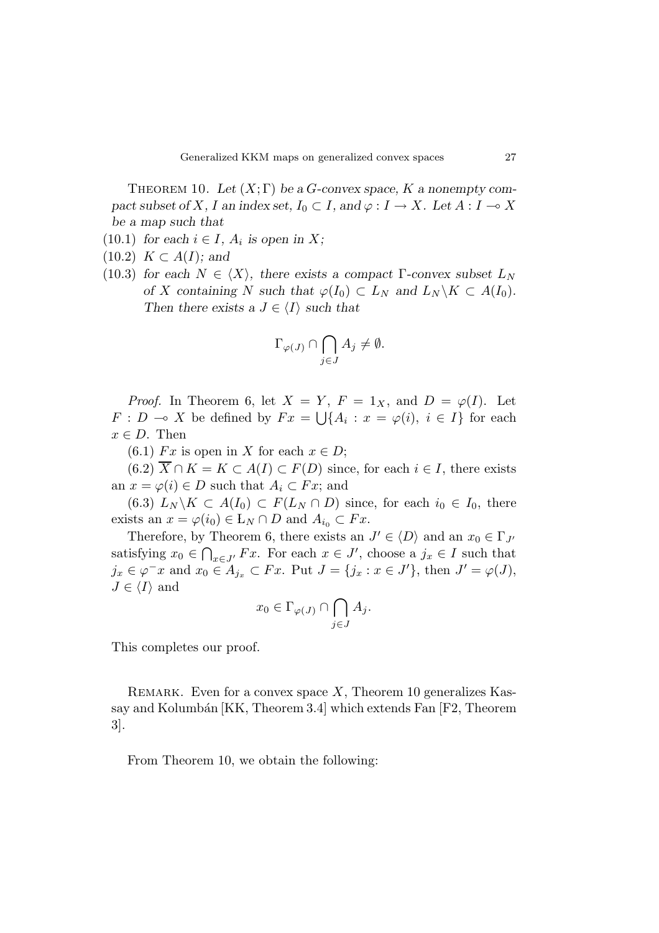THEOREM 10. Let  $(X;\Gamma)$  be a *G*-convex space, *K* a nonempty compact subset of *X*, *I* an index set,  $I_0 \subset I$ , and  $\varphi : I \to X$ . Let  $A : I \to X$ be a map such that

- (10.1) for each  $i \in I$ ,  $A_i$  is open in X;
- $(10.2)$  *K*  $\subset$  *A*(*I*); and
- (10.3) for each  $N \in \langle X \rangle$ , there exists a compact  $\Gamma$ -convex subset  $L_N$ of *X* containing *N* such that  $\varphi(I_0) \subset L_N$  and  $L_N \backslash K \subset A(I_0)$ . Then there exists a  $J \in \langle I \rangle$  such that

$$
\Gamma_{\varphi(J)} \cap \bigcap_{j \in J} A_j \neq \emptyset.
$$

*Proof.* In Theorem 6, let  $X = Y$ ,  $F = 1_X$ , and  $D = \varphi(I)$ . Let *F* : *D*  $\sim$  *X* be defined by  $Fx = \bigcup \{A_i : x = \varphi(i), i \in I\}$  for each  $x \in D$ . Then

(6.1)  $Fx$  is open in *X* for each  $x \in D$ ;

 $(6.2)$   $\overline{X} \cap K = K \subset A(I) \subset F(D)$  since, for each  $i \in I$ , there exists an  $x = \varphi(i) \in D$  such that  $A_i \subset Fx$ ; and

(6.3)  $L_N \backslash K \subset A(I_0) \subset F(L_N \cap D)$  since, for each  $i_0 \in I_0$ , there exists an  $x = \varphi(i_0) \in L_N \cap D$  and  $A_{i_0} \subset Fx$ .

Therefore, by Theorem 6, there exists an  $J' \in \langle D \rangle$  and an  $x_0 \in \Gamma_{J'}$ satisfying  $x_0 \in \bigcap_{x \in J'} F_x$ . For each  $x \in J'$ , choose a  $j_x \in I$  such that *j*<sub>*x*</sub> ∈  $\varphi$ <sup>−</sup>*x* and *x*<sub>0</sub> ∈ *A*<sub>*j*<sub>*x*</sub></sub> ⊂ *Fx*. Put *J* = {*j*<sub>*x*</sub> : *x* ∈ *J*<sup> $l$ </sup>}, then *J*<sup> $l$ </sup> =  $\varphi$ (*J*),  $J \in \langle I \rangle$  and

$$
x_0 \in \Gamma_{\varphi(J)} \cap \bigcap_{j \in J} A_j.
$$

This completes our proof.

REMARK. Even for a convex space X, Theorem 10 generalizes Kassay and Kolumbán [KK, Theorem 3.4] which extends Fan [F2, Theorem 3].

From Theorem 10, we obtain the following: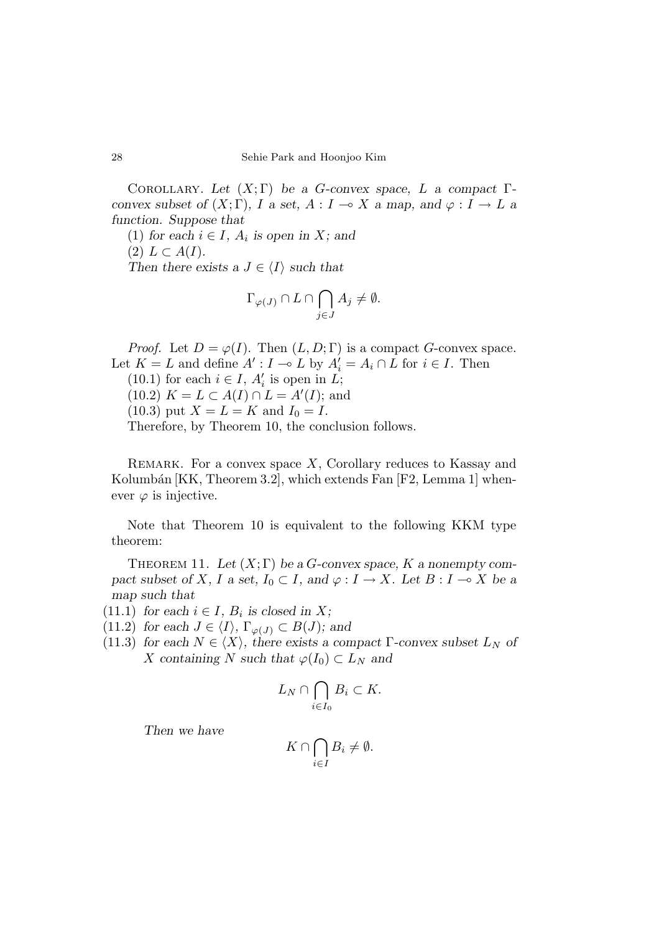Corollary. Let (*X*; Γ) be a *G*-convex space, *L* a compact Γconvex subset of  $(X;\Gamma)$ , *I* a set,  $A: I \to X$  a map, and  $\varphi: I \to L$  a function. Suppose that

(1) for each  $i \in I$ ,  $A_i$  is open in X; and  $(2) L \subset A(I).$ Then there exists a  $J \in \langle I \rangle$  such that

$$
\Gamma_{\varphi(J)} \cap L \cap \bigcap_{j \in J} A_j \neq \emptyset.
$$

*Proof.* Let  $D = \varphi(I)$ . Then  $(L, D; \Gamma)$  is a compact *G*-convex space. Let  $K = L$  and define  $A' : I \to L$  by  $A'_i = A_i \cap L$  for  $i \in I$ . Then (10.1) for each  $i \in I$ ,  $A'_i$  is open in  $L$ ;  $(10.2)$   $K = L \subset A(I) \cap L = A'(I);$  and  $(10.3)$  put  $X = L = K$  and  $I_0 = I$ . Therefore, by Theorem 10, the conclusion follows.

Remark. For a convex space *X*, Corollary reduces to Kassay and Kolumbán  $[KK, Theorem 3.2]$ , which extends Fan  $[F2, Lemma 1]$  whenever  $\varphi$  is injective.

Note that Theorem 10 is equivalent to the following KKM type theorem:

THEOREM 11. Let  $(X;\Gamma)$  be a *G*-convex space, *K* a nonempty compact subset of *X*, *I* a set,  $I_0 \subset I$ , and  $\varphi : I \to X$ . Let  $B : I \to X$  be a map such that

(11.1) for each  $i \in I$ ,  $B_i$  is closed in X;

(11.2) for each  $J \in \langle I \rangle$ ,  $\Gamma_{\varphi(J)} \subset B(J)$ ; and

(11.3) for each  $N \in \langle X \rangle$ , there exists a compact  $\Gamma$ -convex subset  $L_N$  of *X* containing *N* such that  $\varphi(I_0) \subset L_N$  and

$$
L_N \cap \bigcap_{i \in I_0} B_i \subset K.
$$

Then we have

$$
K \cap \bigcap_{i \in I} B_i \neq \emptyset.
$$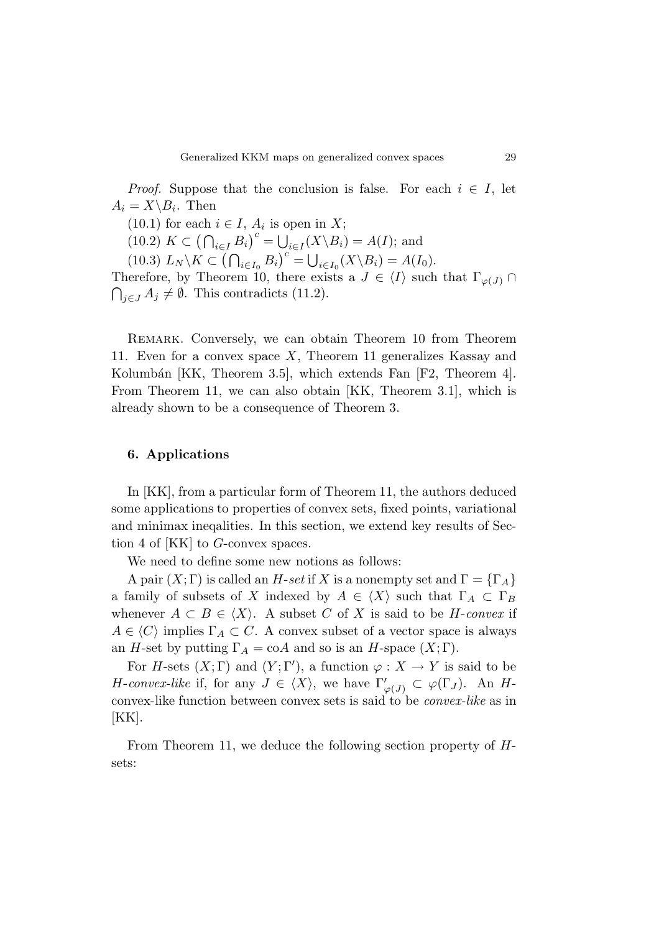*Proof.* Suppose that the conclusion is false. For each  $i \in I$ , let  $A_i = X \setminus B_i$ . Then

(10.1) for each  $i \in I$ ,  $A_i$  is open in X;

 $(10.2) K \subset (\bigcap_{i \in I} B_i)^c = \bigcup_{i \in I} (X \setminus B_i) = A(I);$  and

 $(L_{10.3})$   $L_N \backslash K \subset (\bigcap_{i \in I_0} B_i)^c = \bigcup_{i \in I_0} (X \backslash B_i) = A(I_0).$ 

Therefore, by Theorem 10, there exists a  $J \in \langle I \rangle$  such that  $\Gamma_{\varphi(J)} \cap$  $\bigcap_{j\in J} A_j \neq \emptyset$ . This contradicts (11.2).

Remark. Conversely, we can obtain Theorem 10 from Theorem 11. Even for a convex space *X*, Theorem 11 generalizes Kassay and Kolumbán [KK, Theorem 3.5], which extends Fan [F2, Theorem 4]. From Theorem 11, we can also obtain [KK, Theorem 3.1], which is already shown to be a consequence of Theorem 3.

# **6. Applications**

In [KK], from a particular form of Theorem 11, the authors deduced some applications to properties of convex sets, fixed points, variational and minimax ineqalities. In this section, we extend key results of Section 4 of [KK] to *G*-convex spaces.

We need to define some new notions as follows:

A pair  $(X; \Gamma)$  is called an *H*-set if *X* is a nonempty set and  $\Gamma = {\Gamma_A}$ a family of subsets of *X* indexed by  $A \in \langle X \rangle$  such that  $\Gamma_A \subset \Gamma_B$ whenever  $A \subset B \in \langle X \rangle$ . A subset *C* of *X* is said to be *H*-convex if  $A \in \langle C \rangle$  implies  $\Gamma_A \subset C$ . A convex subset of a vector space is always an *H*-set by putting  $\Gamma_A = \text{coA}$  and so is an *H*-space  $(X; \Gamma)$ .

For *H*-sets  $(X; \Gamma)$  and  $(Y; \Gamma')$ , a function  $\varphi: X \to Y$  is said to be *H*-convex-like if, for any  $J \in \langle X \rangle$ , we have  $\Gamma'_{\varphi(J)} \subset \varphi(\Gamma_J)$ . An *H*convex-like function between convex sets is said to be convex-like as in [KK].

From Theorem 11, we deduce the following section property of *H*sets: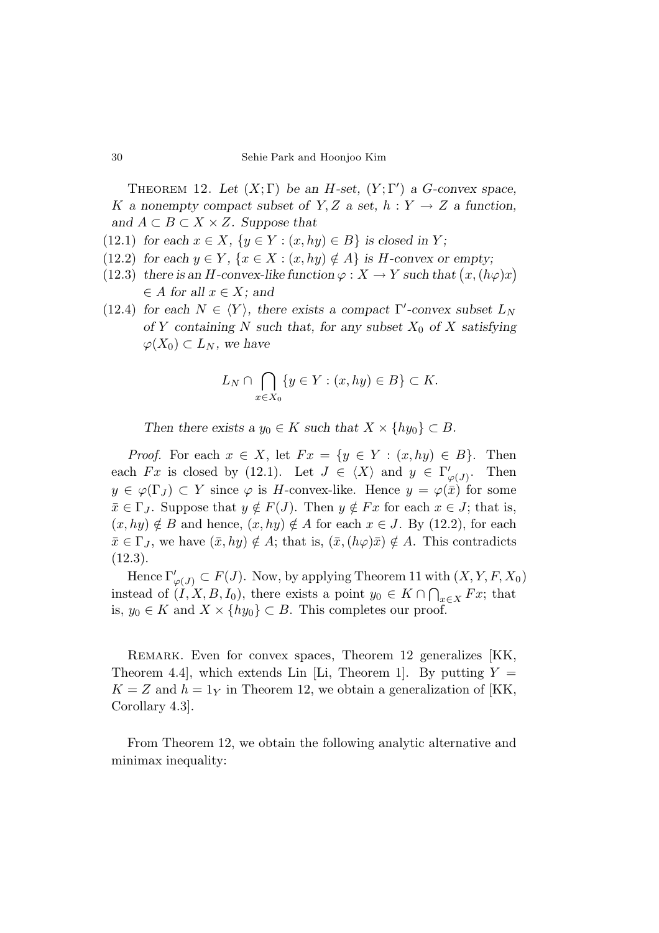THEOREM 12. Let  $(X;\Gamma)$  be an *H*-set,  $(Y;\Gamma')$  a *G*-convex space, *K* a nonempty compact subset of *Y*, *Z* a set,  $h: Y \rightarrow Z$  a function, and  $A \subset B \subset X \times Z$ . Suppose that

- (12.1) for each  $x \in X$ ,  $\{y \in Y : (x, hy) \in B\}$  is closed in *Y*;
- (12.2) for each  $y \in Y$ ,  $\{x \in X : (x, hy) \notin A\}$  is *H*-convex or empty;
- $(12.3)$  there is an *H*-convex-like function  $\varphi: X \to Y$  such that  $(x, (h\varphi)x)$  $\in$  *A* for all  $x \in X$ ; and
- (12.4) for each  $N \in \langle Y \rangle$ , there exists a compact  $\Gamma'$ -convex subset  $L_N$ of *Y* containing *N* such that, for any subset  $X_0$  of *X* satisfying  $\varphi$ (*X*<sub>0</sub>) ⊂ *L*<sub>*N*</sub>, we have

$$
L_N \cap \bigcap_{x \in X_0} \{ y \in Y : (x, hy) \in B \} \subset K.
$$

Then there exists a  $y_0 \in K$  such that  $X \times \{hy_0\} \subset B$ .

*Proof.* For each  $x \in X$ , let  $Fx = \{y \in Y : (x, hy) \in B\}$ . Then each *Fx* is closed by (12.1). Let  $J \in \langle X \rangle$  and  $y \in \Gamma'_{\varphi(J)}$ . Then  $y \in \varphi(\Gamma_J) \subset Y$  since  $\varphi$  is *H*-convex-like. Hence  $y = \varphi(\bar{x})$  for some  $\bar{x} \in \Gamma_J$ . Suppose that  $y \notin F(J)$ . Then  $y \notin Fx$  for each  $x \in J$ ; that is,  $(x, hy) \notin B$  and hence,  $(x, hy) \notin A$  for each  $x \in J$ . By (12.2), for each  $\bar{x} \in \Gamma_J$ , we have  $(\bar{x}, hy) \notin A$ ; that is,  $(\bar{x}, (h\varphi)\bar{x}) \notin A$ . This contradicts  $(12.3).$ 

Hence  $\Gamma'_{\varphi(J)} \subset F(J)$ . Now, by applying Theorem 11 with  $(X, Y, F, X_0)$ instead of  $(I, X, B, I_0)$ , there exists a point  $y_0 \in K \cap \bigcap_{x \in X} F_x$ ; that is, *y*<sub>0</sub> ∈ *K* and *X* × {*hy*<sub>0</sub>} ⊂ *B*. This completes our proof.

REMARK. Even for convex spaces, Theorem 12 generalizes [KK, Theorem 4.4, which extends Lin [Li, Theorem 1]. By putting  $Y =$  $K = Z$  and  $h = 1<sub>Y</sub>$  in Theorem 12, we obtain a generalization of [KK, Corollary 4.3].

From Theorem 12, we obtain the following analytic alternative and minimax inequality: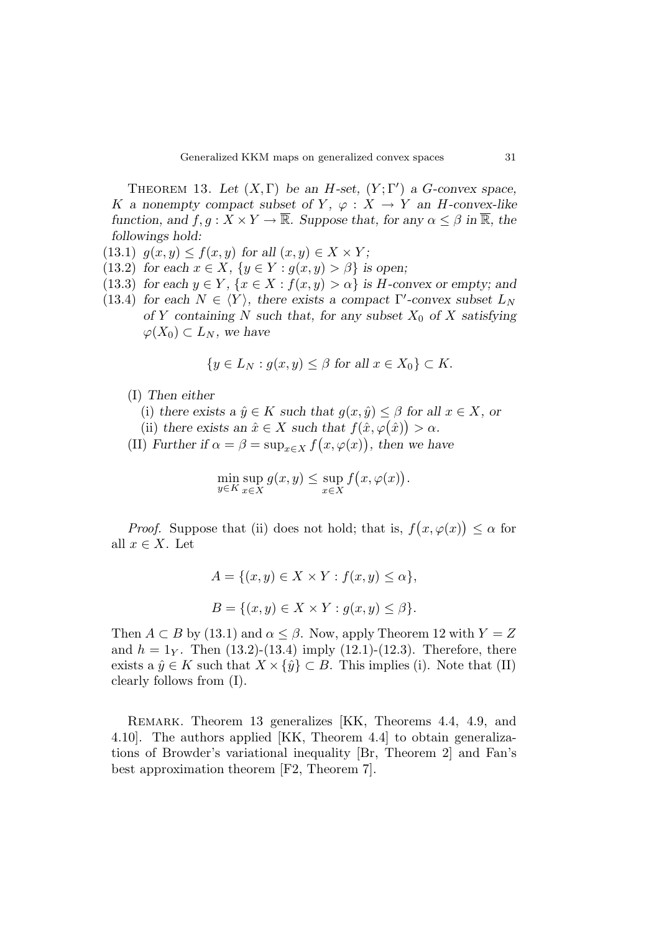THEOREM 13. Let  $(X, \Gamma)$  be an *H*-set,  $(Y; \Gamma')$  a *G*-convex space, *K* a nonempty compact subset of *Y*,  $\varphi : X \to Y$  an *H*-convex-like function, and  $f, g: X \times Y \to \overline{\mathbb{R}}$ . Suppose that, for any  $\alpha \leq \beta$  in  $\overline{\mathbb{R}}$ , the followings hold:

- (13.1)  $g(x, y) \le f(x, y)$  for all  $(x, y) \in X \times Y$ ;
- (13.2) for each  $x \in X$ ,  $\{y \in Y : g(x, y) > \beta\}$  is open;
- (13.3) for each  $y \in Y$ ,  $\{x \in X : f(x, y) > \alpha\}$  is *H*-convex or empty; and
- (13.4) for each  $N \in \langle Y \rangle$ , there exists a compact  $\Gamma'$ -convex subset  $L_N$ of *Y* containing *N* such that, for any subset  $X_0$  of *X* satisfying  $\varphi$ (*X*<sub>0</sub>) ⊂ *L*<sub>*N*</sub>, we have

$$
\{y \in L_N : g(x, y) \le \beta \text{ for all } x \in X_0\} \subset K.
$$

(I) Then either

(i) there exists a  $\hat{y} \in K$  such that  $g(x, \hat{y}) \leq \beta$  for all  $x \in X$ , or

- (ii) there exists an  $\hat{x} \in X$  such that  $f(\hat{x}, \varphi(\hat{x})) > \alpha$ .
- (II) Further if  $\alpha = \beta = \sup_{x \in X} f(x, \varphi(x))$ , then we have

$$
\min_{y \in K} \sup_{x \in X} g(x, y) \le \sup_{x \in X} f(x, \varphi(x)).
$$

*Proof.* Suppose that (ii) does not hold; that is,  $f(x, \varphi(x)) \leq \alpha$  for all  $x \in X$ . Let

$$
A = \{(x, y) \in X \times Y : f(x, y) \le \alpha\},
$$
  

$$
B = \{(x, y) \in X \times Y : g(x, y) \le \beta\}.
$$

Then  $A \subset B$  by (13.1) and  $\alpha \leq \beta$ . Now, apply Theorem 12 with  $Y = Z$ and  $h = 1$ *Y*. Then (13.2)-(13.4) imply (12.1)-(12.3). Therefore, there exists a  $\hat{y} \in K$  such that  $X \times {\hat{y}} \subset B$ . This implies (i). Note that (II) clearly follows from (I).

REMARK. Theorem 13 generalizes [KK, Theorems 4.4, 4.9, and 4.10]. The authors applied [KK, Theorem 4.4] to obtain generalizations of Browder's variational inequality [Br, Theorem 2] and Fan's best approximation theorem [F2, Theorem 7].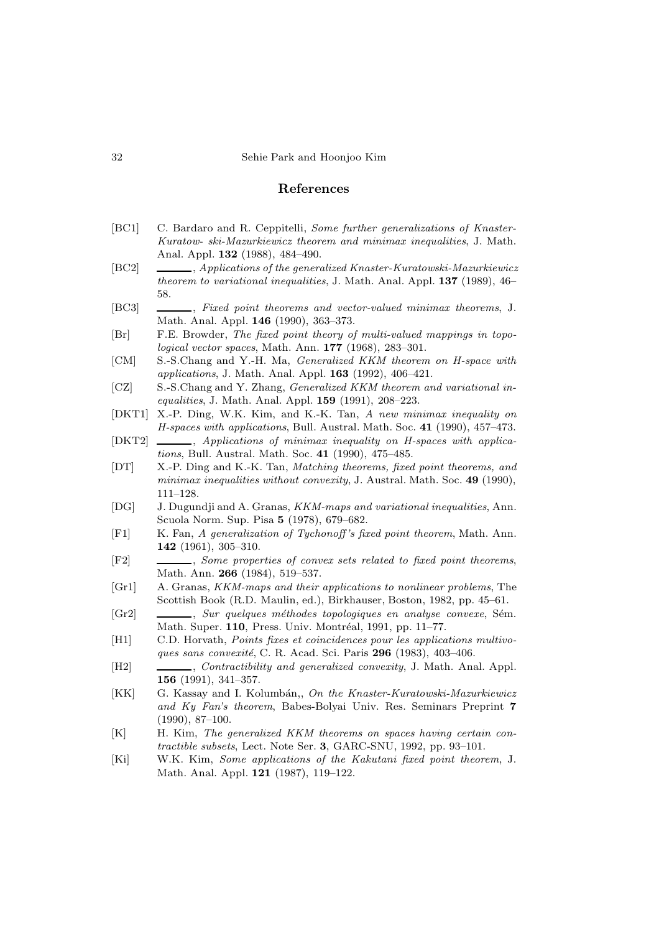### **References**

- [BC1] C. Bardaro and R. Ceppitelli, *Some further generalizations of Knaster-Kuratow- ski-Mazurkiewicz theorem and minimax inequalities*, J. Math. Anal. Appl. **132** (1988), 484–490.
- [BC2] , *Applications of the generalized Knaster-Kuratowski-Mazurkiewicz theorem to variational inequalities*, J. Math. Anal. Appl. **137** (1989), 46– 58.
- [BC3] , *Fixed point theorems and vector-valued minimax theorems*, J. Math. Anal. Appl. **146** (1990), 363–373.
- [Br] F.E. Browder, *The fixed point theory of multi-valued mappings in topological vector spaces*, Math. Ann. **177** (1968), 283–301.
- [CM] S.-S.Chang and Y.-H. Ma, *Generalized KKM theorem on H-space with applications*, J. Math. Anal. Appl. **163** (1992), 406–421.
- [CZ] S.-S.Chang and Y. Zhang, *Generalized KKM theorem and variational inequalities*, J. Math. Anal. Appl. **159** (1991), 208–223.
- [DKT1] X.-P. Ding, W.K. Kim, and K.-K. Tan, *A new minimax inequality on H-spaces with applications*, Bull. Austral. Math. Soc. **41** (1990), 457–473.
- [DKT2] , *Applications of minimax inequality on H-spaces with applications*, Bull. Austral. Math. Soc. **41** (1990), 475–485.
- [DT] X.-P. Ding and K.-K. Tan, *Matching theorems, fixed point theorems, and minimax inequalities without convexity*, J. Austral. Math. Soc. **49** (1990), 111–128.
- [DG] J. Dugundji and A. Granas, *KKM-maps and variational inequalities*, Ann. Scuola Norm. Sup. Pisa **5** (1978), 679–682.
- [F1] K. Fan, *A generalization of Tychonoff 's fixed point theorem*, Math. Ann. **142** (1961), 305–310.
- [F2] , *Some properties of convex sets related to fixed point theorems*, Math. Ann. **266** (1984), 519–537.
- [Gr1] A. Granas, *KKM-maps and their applications to nonlinear problems*, The Scottish Book (R.D. Maulin, ed.), Birkhauser, Boston, 1982, pp. 45–61.
- [Gr2]  $\quad \underline{\hspace{2cm}}$ , *Sur quelques méthodes topologiques en analyse convexe*, Sém. Math. Super. **110**, Press. Univ. Montréal, 1991, pp. 11–77.
- [H1] C.D. Horvath, *Points fixes et coincidences pour les applications multivoques sans convexité*, C. R. Acad. Sci. Paris **296** (1983), 403-406.
- [H2] , *Contractibility and generalized convexity*, J. Math. Anal. Appl. **156** (1991), 341–357.
- [KK] G. Kassay and I. Kolumbán,, *On the Knaster-Kuratowski-Mazurkiewicz and Ky Fan's theorem*, Babes-Bolyai Univ. Res. Seminars Preprint **7** (1990), 87–100.
- [K] H. Kim, *The generalized KKM theorems on spaces having certain contractible subsets*, Lect. Note Ser. **3**, GARC-SNU, 1992, pp. 93–101.
- [Ki] W.K. Kim, *Some applications of the Kakutani fixed point theorem*, J. Math. Anal. Appl. **121** (1987), 119–122.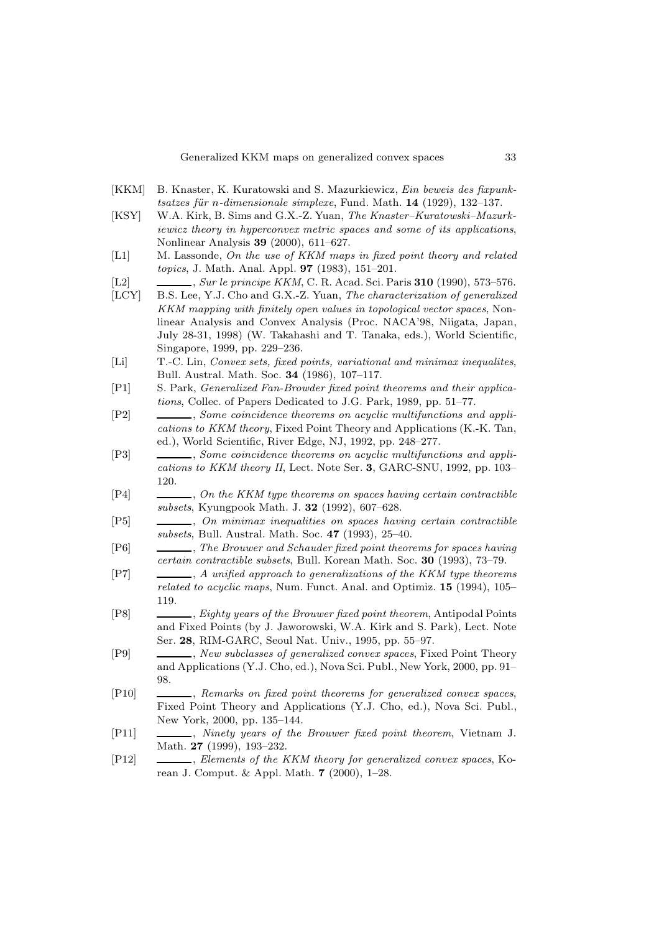- [KKM] B. Knaster, K. Kuratowski and S. Mazurkiewicz, *Ein beweis des fixpunktsatzes f¨ur* n*-dimensionale simplexe*, Fund. Math. **14** (1929), 132–137.
- [KSY] W.A. Kirk, B. Sims and G.X.-Z. Yuan, *The Knaster–Kuratowski–Mazurkiewicz theory in hyperconvex metric spaces and some of its applications*, Nonlinear Analysis **39** (2000), 611–627.
- [L1] M. Lassonde, *On the use of KKM maps in fixed point theory and related topics*, J. Math. Anal. Appl. **97** (1983), 151–201.
- [L2] , *Sur le principe KKM*, C. R. Acad. Sci. Paris **310** (1990), 573–576.
- [LCY] B.S. Lee, Y.J. Cho and G.X.-Z. Yuan, *The characterization of generalized KKM mapping with finitely open values in topological vector spaces*, Nonlinear Analysis and Convex Analysis (Proc. NACA'98, Niigata, Japan, July 28-31, 1998) (W. Takahashi and T. Tanaka, eds.), World Scientific, Singapore, 1999, pp. 229–236.
- [Li] T.-C. Lin, *Convex sets, fixed points, variational and minimax inequalites*, Bull. Austral. Math. Soc. **34** (1986), 107–117.
- [P1] S. Park, *Generalized Fan-Browder fixed point theorems and their applications*, Collec. of Papers Dedicated to J.G. Park, 1989, pp. 51–77.
- [P2] , *Some coincidence theorems on acyclic multifunctions and applications to KKM theory*, Fixed Point Theory and Applications (K.-K. Tan, ed.), World Scientific, River Edge, NJ, 1992, pp. 248–277.
- [P3] , *Some coincidence theorems on acyclic multifunctions and applications to KKM theory II*, Lect. Note Ser. **3**, GARC-SNU, 1992, pp. 103– 120.
- [P4] , *On the KKM type theorems on spaces having certain contractible subsets*, Kyungpook Math. J. **32** (1992), 607–628.
- [P5] , *On minimax inequalities on spaces having certain contractible subsets*, Bull. Austral. Math. Soc. **47** (1993), 25–40.
- [P6] , *The Brouwer and Schauder fixed point theorems for spaces having certain contractible subsets*, Bull. Korean Math. Soc. **30** (1993), 73–79.
- [P7] , *A unified approach to generalizations of the KKM type theorems related to acyclic maps*, Num. Funct. Anal. and Optimiz. **15** (1994), 105– 119.
- [P8] , *Eighty years of the Brouwer fixed point theorem*, Antipodal Points and Fixed Points (by J. Jaworowski, W.A. Kirk and S. Park), Lect. Note Ser. **28**, RIM-GARC, Seoul Nat. Univ., 1995, pp. 55–97.
- [P9] , *New subclasses of generalized convex spaces*, Fixed Point Theory and Applications (Y.J. Cho, ed.), Nova Sci. Publ., New York, 2000, pp. 91– 98.
- [P10] , *Remarks on fixed point theorems for generalized convex spaces*, Fixed Point Theory and Applications (Y.J. Cho, ed.), Nova Sci. Publ., New York, 2000, pp. 135–144.
- [P11] , *Ninety years of the Brouwer fixed point theorem*, Vietnam J. Math. **27** (1999), 193–232.
- [P12] , *Elements of the KKM theory for generalized convex spaces*, Korean J. Comput. & Appl. Math. **7** (2000), 1–28.